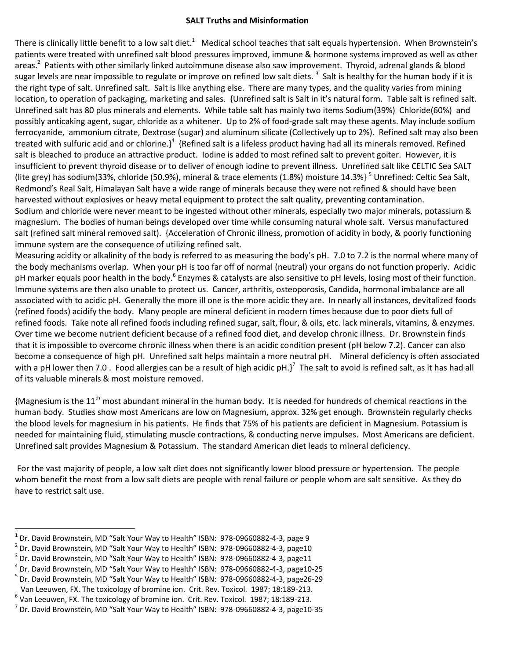## **SALT Truths and Misinformation**

There is clinically little benefit to a low salt diet.<sup>1</sup> Medical school teaches that salt equals hypertension. When Brownstein's patients were treated with unrefined salt blood pressures improved, immune & hormone systems improved as well as other areas.<sup>2</sup> Patients with other similarly linked autoimmune disease also saw improvement. Thyroid, adrenal glands & blood sugar levels are near impossible to regulate or improve on refined low salt diets. <sup>3</sup> Salt is healthy for the human body if it is the right type of salt. Unrefined salt. Salt is like anything else. There are many types, and the quality varies from mining location, to operation of packaging, marketing and sales. {Unrefined salt is Salt in it's natural form. Table salt is refined salt. Unrefined salt has 80 plus minerals and elements. While table salt has mainly two items Sodium(39%) Chloride(60%) and possibly anticaking agent, sugar, chloride as a whitener. Up to 2% of food-grade salt may these agents. May include sodium ferrocyanide, ammonium citrate, Dextrose (sugar) and aluminum silicate (Collectively up to 2%). Refined salt may also been treated with sulfuric acid and or chlorine.}<sup>4</sup> {Refined salt is a lifeless product having had all its minerals removed. Refined salt is bleached to produce an attractive product. Iodine is added to most refined salt to prevent goiter. However, it is insufficient to prevent thyroid disease or to deliver of enough iodine to prevent illness. Unrefined salt like CELTIC Sea SALT (lite grey) has sodium(33%, chloride (50.9%), mineral & trace elements (1.8%) moisture 14.3%}<sup>5</sup> Unrefined: Celtic Sea Salt, Redmond's Real Salt, Himalayan Salt have a wide range of minerals because they were not refined & should have been harvested without explosives or heavy metal equipment to protect the salt quality, preventing contamination.

Sodium and chloride were never meant to be ingested without other minerals, especially two major minerals, potassium & magnesium. The bodies of human beings developed over time while consuming natural whole salt. Versus manufactured salt (refined salt mineral removed salt). {Acceleration of Chronic illness, promotion of acidity in body, & poorly functioning immune system are the consequence of utilizing refined salt.

Measuring acidity or alkalinity of the body is referred to as measuring the body's pH. 7.0 to 7.2 is the normal where many of the body mechanisms overlap. When your pH is too far off of normal (neutral) your organs do not function properly. Acidic pH marker equals poor health in the body.<sup>6</sup> Enzymes & catalysts are also sensitive to pH levels, losing most of their function. Immune systems are then also unable to protect us. Cancer, arthritis, osteoporosis, Candida, hormonal imbalance are all associated with to acidic pH. Generally the more ill one is the more acidic they are. In nearly all instances, devitalized foods (refined foods) acidify the body. Many people are mineral deficient in modern times because due to poor diets full of refined foods. Take note all refined foods including refined sugar, salt, flour, & oils, etc. lack minerals, vitamins, & enzymes. Over time we become nutrient deficient because of a refined food diet, and develop chronic illness. Dr. Brownstein finds that it is impossible to overcome chronic illness when there is an acidic condition present (pH below 7.2). Cancer can also become a consequence of high pH. Unrefined salt helps maintain a more neutral pH. Mineral deficiency is often associated with a pH lower then 7.0 . Food allergies can be a result of high acidic pH.}<sup>7</sup> The salt to avoid is refined salt, as it has had all of its valuable minerals & most moisture removed.

{Magnesium is the  $11<sup>th</sup>$  most abundant mineral in the human body. It is needed for hundreds of chemical reactions in the human body. Studies show most Americans are low on Magnesium, approx. 32% get enough. Brownstein regularly checks the blood levels for magnesium in his patients. He finds that 75% of his patients are deficient in Magnesium. Potassium is needed for maintaining fluid, stimulating muscle contractions, & conducting nerve impulses. Most Americans are deficient. Unrefined salt provides Magnesium & Potassium. The standard American diet leads to mineral deficiency.

For the vast majority of people, a low salt diet does not significantly lower blood pressure or hypertension. The people whom benefit the most from a low salt diets are people with renal failure or people whom are salt sensitive. As they do have to restrict salt use.

 $\overline{a}$ 

 $^1$  Dr. David Brownstein, MD "Salt Your Way to Health" ISBN: 978-09660882-4-3, page 9

<sup>2</sup> Dr. David Brownstein, MD "Salt Your Way to Health" ISBN: 978-09660882-4-3, page10

<sup>3</sup> Dr. David Brownstein, MD "Salt Your Way to Health" ISBN: 978-09660882-4-3, page11

<sup>4</sup> Dr. David Brownstein, MD "Salt Your Way to Health" ISBN: 978-09660882-4-3, page10-25

<sup>&</sup>lt;sup>5</sup> Dr. David Brownstein, MD "Salt Your Way to Health" ISBN: 978-09660882-4-3, page26-29

Van Leeuwen, FX. The toxicology of bromine ion. Crit. Rev. Toxicol. 1987; 18:189-213.

 $^6$  Van Leeuwen, FX. The toxicology of bromine ion. Crit. Rev. Toxicol. 1987; 18:189-213.

<sup>&</sup>lt;sup>7</sup> Dr. David Brownstein, MD "Salt Your Way to Health" ISBN: 978-09660882-4-3, page10-35